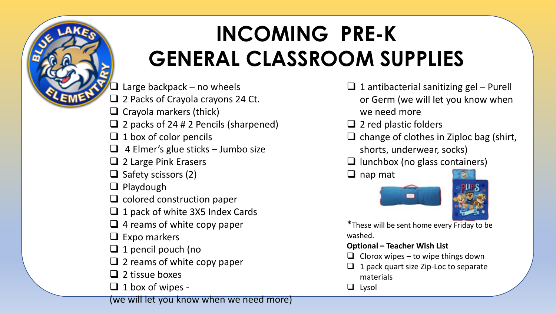# **INCOMING PRE-K GENERAL CLASSROOM SUPPLIES**

**T** Large backpack – no wheels

- $\Box$  2 Packs of Crayola crayons 24 Ct.
- $\Box$  Crayola markers (thick)
- $\Box$  2 packs of 24 # 2 Pencils (sharpened)
- $\Box$  1 box of color pencils
- $\Box$  4 Elmer's glue sticks Jumbo size
- $\Box$  2 Large Pink Erasers
- $\Box$  Safety scissors (2)
- $\Box$  Playdough
- $\Box$  colored construction paper
- $\Box$  1 pack of white 3X5 Index Cards
- $\Box$  4 reams of white copy paper
- $\Box$  Expo markers
- $\Box$  1 pencil pouch (no
- $\Box$  2 reams of white copy paper
- $\Box$  2 tissue boxes
- $\Box$  1 box of wipes -
- (we will let you know when we need more)
- $\Box$  1 antibacterial sanitizing gel Purell or Germ (we will let you know when we need more
- $\Box$  2 red plastic folders
- $\Box$  change of clothes in Ziploc bag (shirt, shorts, underwear, socks)
- $\Box$  lunchbox (no glass containers)
- $\Box$  nap mat



\*These will be sent home every Friday to be washed.

#### **Optional – Teacher Wish List**

- $\Box$  Clorox wipes to wipe things down
- $\Box$  1 pack quart size Zip-Loc to separate materials
- $\Box$  Lysol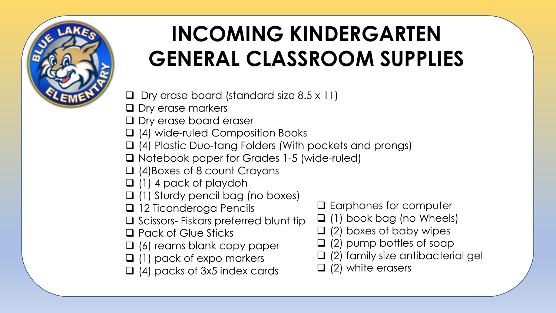

# **INCOMING KINDERGARTEN GENERAL CLASSROOM SUPPLIES**

 $\Box$  Dry erase board (standard size 8.5 x 11)

- **D** Dry erase markers
- **Q** Dry erase board eraser
- (4) wide-ruled Composition Books
- (4) Plastic Duo-tang Folders (With pockets and prongs)
- □ Notebook paper for Grades 1-5 (wide-ruled)
- □ (4)Boxes of 8 count Crayons
- $\Box$  (1) 4 pack of playdoh
- (1) Sturdy pencil bag (no boxes)
- 12 Ticonderoga Pencils
- $\square$  Scissors- Fiskars preferred blunt tip
- □ Pack of Glue Sticks
- $\Box$  (6) reams blank copy paper
- $\Box$  (1) pack of expo markers
- $\Box$  (4) packs of 3x5 index cards
- **□** Earphones for computer
- $\Box$  (1) book bag (no Wheels)
- $\Box$  (2) boxes of baby wipes
- $\Box$  (2) pump bottles of soap
- (2) family size antibacterial gel
- $\Box$  (2) white erasers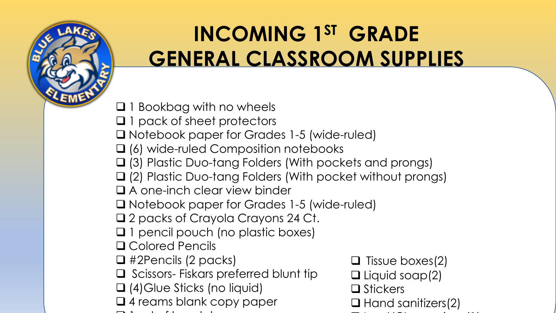

#### **INCOMING 1ST GRADE GENERAL CLASSROOM SUPPLIES**

 $\Box$  1 Bookbag with no wheels

- □ 1 pack of sheet protectors
- □ Notebook paper for Grades 1-5 (wide-ruled)
- □ (6) wide-ruled Composition notebooks
- (3) Plastic Duo-tang Folders (With pockets and prongs)
- (2) Plastic Duo-tang Folders (With pocket without prongs)
- A one-inch clear view binder
- □ Notebook paper for Grades 1-5 (wide-ruled)
- □ 2 packs of Crayola Crayons 24 Ct.
- □ 1 pencil pouch (no plastic boxes)
- **Q** Colored Pencils
- #2Pencils (2 packs)
- $\Box$  Scissors- Fiskars preferred blunt tip
- □ (4)Glue Sticks (no liquid)
- Q 4 reams blank copy paper
- $\overline{1}$  t f h d h  $\overline{1}$
- $\Box$  Tissue boxes(2)  $\Box$  Liquid soap(2) **□** Stickers  $\Box$  Hand sanitizers(2)
	- $\frac{1}{\sqrt{2}}$  is the contract of the contract of the contract of the contract of the contract of the contract of the contract of the contract of the contract of the contract of the contract of the contract of the contract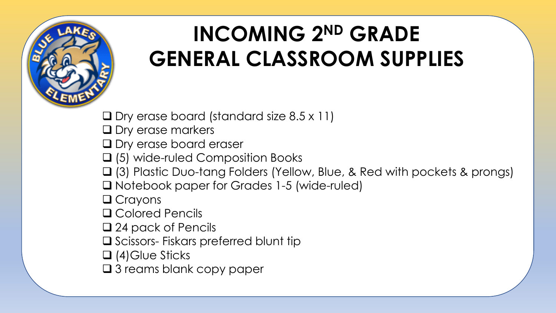

## **INCOMING 2ND GRADE GENERAL CLASSROOM SUPPLIES**

 $\Box$  Dry erase board (standard size 8.5 x 11)

**Q** Dry erase markers

**Q** Dry erase board eraser

□ (5) wide-ruled Composition Books

(3) Plastic Duo-tang Folders (Yellow, Blue, & Red with pockets & prongs)

□ Notebook paper for Grades 1-5 (wide-ruled)

□ Crayons

**□ Colored Pencils** 

□ 24 pack of Pencils

 $\square$  Scissors- Fiskars preferred blunt tip

□ (4)Glue Sticks

□ 3 reams blank copy paper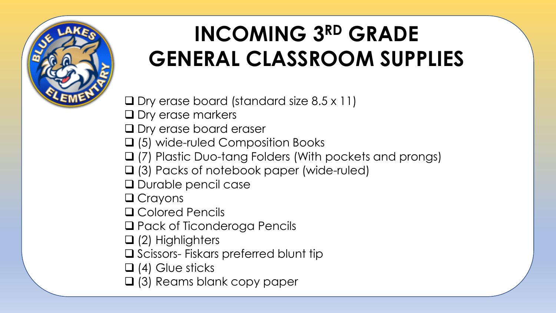

# **INCOMING 3RD GRADE GENERAL CLASSROOM SUPPLIES**

 $\Box$  Dry erase board (standard size 8.5 x 11)

- **Q** Dry erase markers
- **Q** Dry erase board eraser
- □ (5) wide-ruled Composition Books
- (7) Plastic Duo-tang Folders (With pockets and prongs)
- (3) Packs of notebook paper (wide-ruled)
- **Q** Durable pencil case
- □ Crayons
- **Q** Colored Pencils
- □ Pack of Ticonderoga Pencils
- $\Box$  (2) Highlighters
- $\square$  Scissors- Fiskars preferred blunt tip
- $\Box$  (4) Glue sticks
- (3) Reams blank copy paper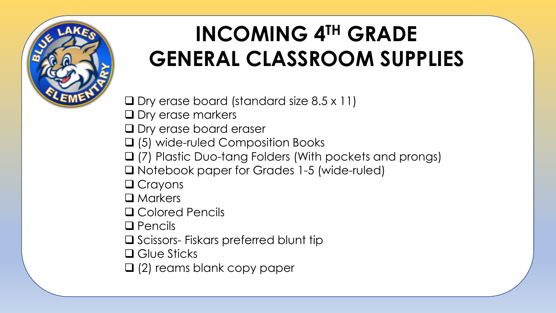

# **INCOMING 4TH GRADE GENERAL CLASSROOM SUPPLIES**

 $\Box$  Dry erase board (standard size 8.5 x 11)

- **Q** Dry erase markers
- **Q** Dry erase board eraser
- □ (5) wide-ruled Composition Books
- (7) Plastic Duo-tang Folders (With pockets and prongs)
- □ Notebook paper for Grades 1-5 (wide-ruled)
- □ Crayons
- □ Markers
- Colored Pencils
- $\Box$  Pencils
- $\square$  Scissors- Fiskars preferred blunt tip
- □ Glue Sticks
- □ (2) reams blank copy paper